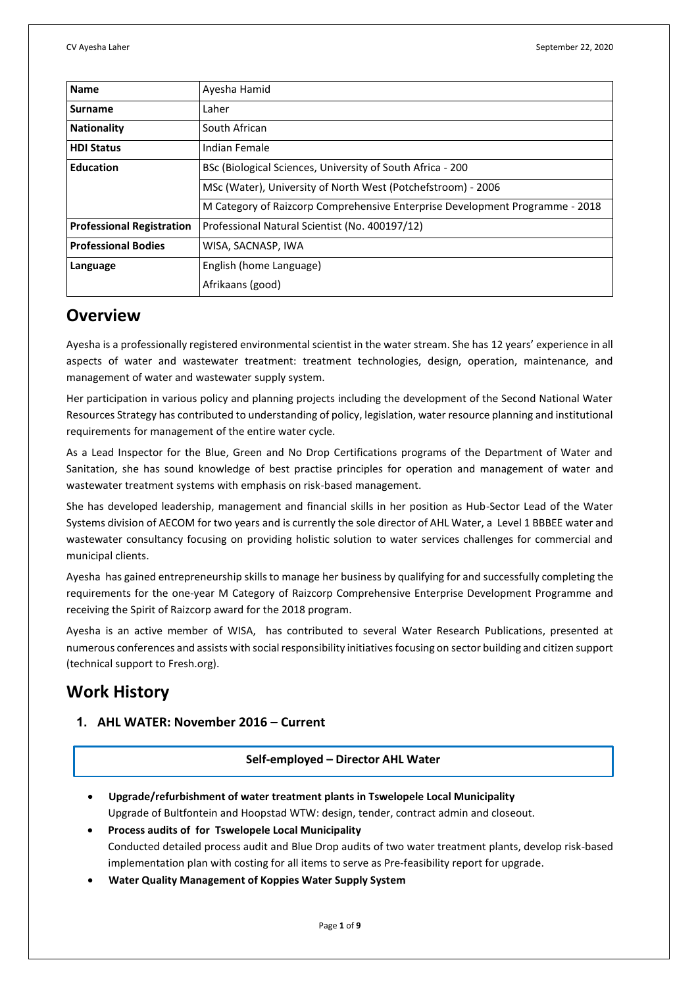| <b>Name</b>                      | Ayesha Hamid                                                                 |  |  |
|----------------------------------|------------------------------------------------------------------------------|--|--|
| Surname                          | Laher                                                                        |  |  |
| <b>Nationality</b>               | South African                                                                |  |  |
| <b>HDI Status</b>                | Indian Female                                                                |  |  |
| <b>Education</b>                 | BSc (Biological Sciences, University of South Africa - 200                   |  |  |
|                                  | MSc (Water), University of North West (Potchefstroom) - 2006                 |  |  |
|                                  | M Category of Raizcorp Comprehensive Enterprise Development Programme - 2018 |  |  |
| <b>Professional Registration</b> | Professional Natural Scientist (No. 400197/12)                               |  |  |
| <b>Professional Bodies</b>       | WISA, SACNASP, IWA                                                           |  |  |
| Language                         | English (home Language)                                                      |  |  |
|                                  | Afrikaans (good)                                                             |  |  |

# **Overview**

Ayesha is a professionally registered environmental scientist in the water stream. She has 12 years' experience in all aspects of water and wastewater treatment: treatment technologies, design, operation, maintenance, and management of water and wastewater supply system.

Her participation in various policy and planning projects including the development of the Second National Water Resources Strategy has contributed to understanding of policy, legislation, water resource planning and institutional requirements for management of the entire water cycle.

As a Lead Inspector for the Blue, Green and No Drop Certifications programs of the Department of Water and Sanitation, she has sound knowledge of best practise principles for operation and management of water and wastewater treatment systems with emphasis on risk-based management.

She has developed leadership, management and financial skills in her position as Hub-Sector Lead of the Water Systems division of AECOM for two years and is currently the sole director of AHL Water, a Level 1 BBBEE water and wastewater consultancy focusing on providing holistic solution to water services challenges for commercial and municipal clients.

Ayesha has gained entrepreneurship skills to manage her business by qualifying for and successfully completing the requirements for the one-year M Category of Raizcorp Comprehensive Enterprise Development Programme and receiving the Spirit of Raizcorp award for the 2018 program.

Ayesha is an active member of WISA, has contributed to several Water Research Publications, presented at numerous conferences and assists with social responsibility initiatives focusing on sector building and citizen support (technical support to Fresh.org).

# **Work History**

# **1. AHL WATER: November 2016 – Current**

# **Self-employed – Director AHL Water**

- **Upgrade/refurbishment of water treatment plants in Tswelopele Local Municipality** Upgrade of Bultfontein and Hoopstad WTW: design, tender, contract admin and closeout.
- **Process audits of for Tswelopele Local Municipality** Conducted detailed process audit and Blue Drop audits of two water treatment plants, develop risk-based implementation plan with costing for all items to serve as Pre-feasibility report for upgrade.
- **Water Quality Management of Koppies Water Supply System**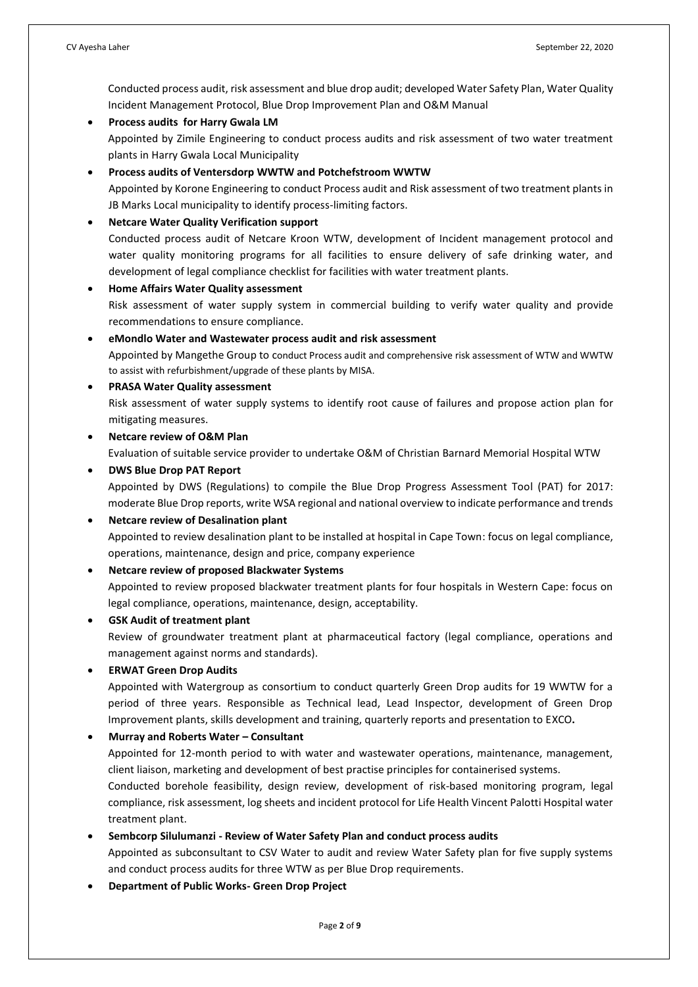Conducted process audit, risk assessment and blue drop audit; developed Water Safety Plan, Water Quality Incident Management Protocol, Blue Drop Improvement Plan and O&M Manual

- **Process audits for Harry Gwala LM** Appointed by Zimile Engineering to conduct process audits and risk assessment of two water treatment plants in Harry Gwala Local Municipality
- **Process audits of Ventersdorp WWTW and Potchefstroom WWTW**  Appointed by Korone Engineering to conduct Process audit and Risk assessment of two treatment plants in JB Marks Local municipality to identify process-limiting factors.

# • **Netcare Water Quality Verification support**

recommendations to ensure compliance.

Conducted process audit of Netcare Kroon WTW, development of Incident management protocol and water quality monitoring programs for all facilities to ensure delivery of safe drinking water, and development of legal compliance checklist for facilities with water treatment plants.

• **Home Affairs Water Quality assessment** Risk assessment of water supply system in commercial building to verify water quality and provide

# • **eMondlo Water and Wastewater process audit and risk assessment**

Appointed by Mangethe Group to conduct Process audit and comprehensive risk assessment of WTW and WWTW to assist with refurbishment/upgrade of these plants by MISA.

• **PRASA Water Quality assessment** Risk assessment of water supply systems to identify root cause of failures and propose action plan for mitigating measures.

#### • **Netcare review of O&M Plan**

Evaluation of suitable service provider to undertake O&M of Christian Barnard Memorial Hospital WTW

# • **DWS Blue Drop PAT Report**

Appointed by DWS (Regulations) to compile the Blue Drop Progress Assessment Tool (PAT) for 2017: moderate Blue Drop reports, write WSA regional and national overview to indicate performance and trends

#### • **Netcare review of Desalination plant**

Appointed to review desalination plant to be installed at hospital in Cape Town: focus on legal compliance, operations, maintenance, design and price, company experience

#### • **Netcare review of proposed Blackwater Systems**

Appointed to review proposed blackwater treatment plants for four hospitals in Western Cape: focus on legal compliance, operations, maintenance, design, acceptability.

#### • **GSK Audit of treatment plant**

Review of groundwater treatment plant at pharmaceutical factory (legal compliance, operations and management against norms and standards).

#### • **ERWAT Green Drop Audits**

Appointed with Watergroup as consortium to conduct quarterly Green Drop audits for 19 WWTW for a period of three years. Responsible as Technical lead, Lead Inspector, development of Green Drop Improvement plants, skills development and training, quarterly reports and presentation to EXCO**.**

## • **Murray and Roberts Water – Consultant**

Appointed for 12-month period to with water and wastewater operations, maintenance, management, client liaison, marketing and development of best practise principles for containerised systems.

Conducted borehole feasibility, design review, development of risk-based monitoring program, legal compliance, risk assessment, log sheets and incident protocol for Life Health Vincent Palotti Hospital water treatment plant.

#### • **Sembcorp Silulumanzi - Review of Water Safety Plan and conduct process audits**

Appointed as subconsultant to CSV Water to audit and review Water Safety plan for five supply systems and conduct process audits for three WTW as per Blue Drop requirements.

• **Department of Public Works- Green Drop Project**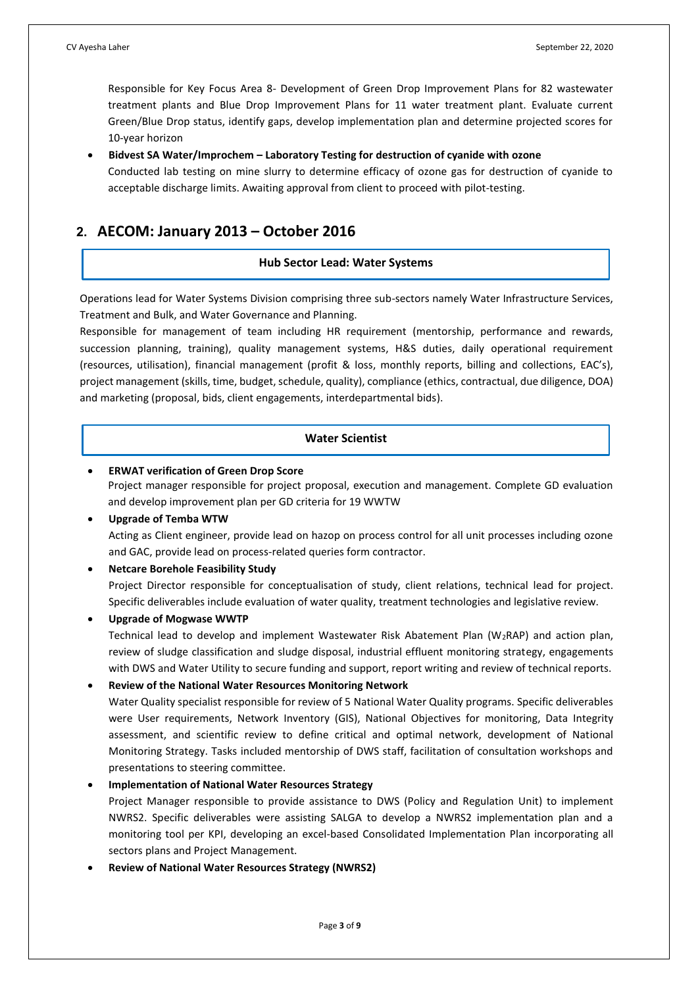Responsible for Key Focus Area 8- Development of Green Drop Improvement Plans for 82 wastewater treatment plants and Blue Drop Improvement Plans for 11 water treatment plant. Evaluate current Green/Blue Drop status, identify gaps, develop implementation plan and determine projected scores for 10-year horizon

• **Bidvest SA Water/Improchem – Laboratory Testing for destruction of cyanide with ozone** Conducted lab testing on mine slurry to determine efficacy of ozone gas for destruction of cyanide to acceptable discharge limits. Awaiting approval from client to proceed with pilot-testing.

# **2. AECOM: January 2013 – October 2016**

# **Hub Sector Lead: Water Systems**

Operations lead for Water Systems Division comprising three sub-sectors namely Water Infrastructure Services, Treatment and Bulk, and Water Governance and Planning.

Responsible for management of team including HR requirement (mentorship, performance and rewards, succession planning, training), quality management systems, H&S duties, daily operational requirement (resources, utilisation), financial management (profit & loss, monthly reports, billing and collections, EAC's), project management (skills, time, budget, schedule, quality), compliance (ethics, contractual, due diligence, DOA) and marketing (proposal, bids, client engagements, interdepartmental bids).

# **Water Scientist**

# • **ERWAT verification of Green Drop Score**

Project manager responsible for project proposal, execution and management. Complete GD evaluation and develop improvement plan per GD criteria for 19 WWTW

# • **Upgrade of Temba WTW**

Acting as Client engineer, provide lead on hazop on process control for all unit processes including ozone and GAC, provide lead on process-related queries form contractor.

# • **Netcare Borehole Feasibility Study**

Project Director responsible for conceptualisation of study, client relations, technical lead for project. Specific deliverables include evaluation of water quality, treatment technologies and legislative review.

# • **Upgrade of Mogwase WWTP**

Technical lead to develop and implement Wastewater Risk Abatement Plan (W2RAP) and action plan, review of sludge classification and sludge disposal, industrial effluent monitoring strategy, engagements with DWS and Water Utility to secure funding and support, report writing and review of technical reports.

#### • **Review of the National Water Resources Monitoring Network**

Water Quality specialist responsible for review of 5 National Water Quality programs. Specific deliverables were User requirements, Network Inventory (GIS), National Objectives for monitoring, Data Integrity assessment, and scientific review to define critical and optimal network, development of National Monitoring Strategy. Tasks included mentorship of DWS staff, facilitation of consultation workshops and presentations to steering committee.

#### • **Implementation of National Water Resources Strategy**

Project Manager responsible to provide assistance to DWS (Policy and Regulation Unit) to implement NWRS2. Specific deliverables were assisting SALGA to develop a NWRS2 implementation plan and a monitoring tool per KPI, developing an excel-based Consolidated Implementation Plan incorporating all sectors plans and Project Management.

# • **Review of National Water Resources Strategy (NWRS2)**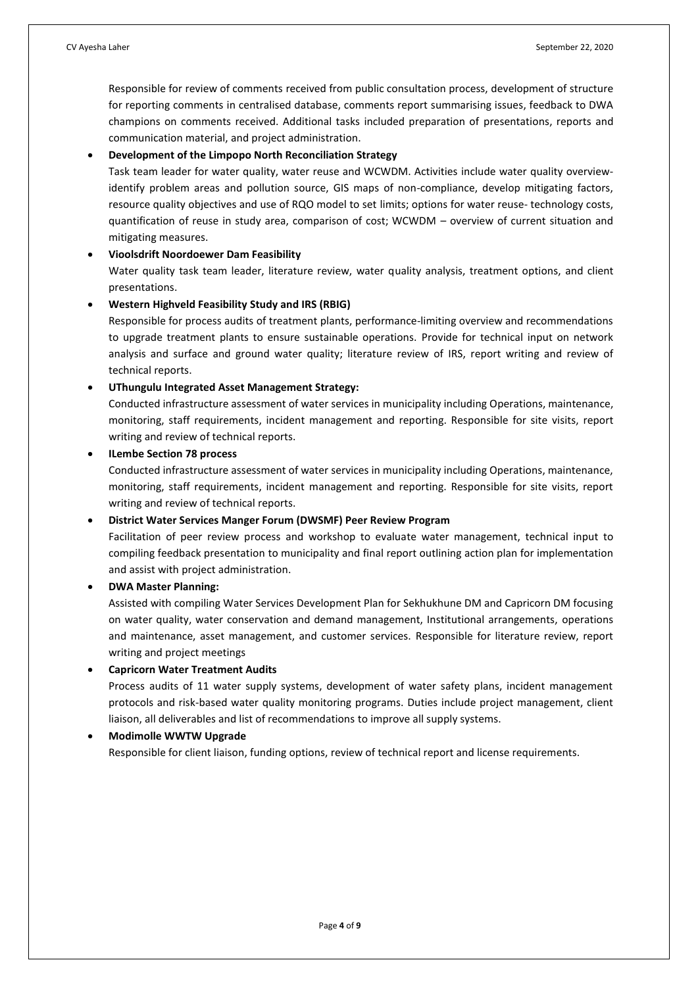Responsible for review of comments received from public consultation process, development of structure for reporting comments in centralised database, comments report summarising issues, feedback to DWA champions on comments received. Additional tasks included preparation of presentations, reports and communication material, and project administration.

## • **Development of the Limpopo North Reconciliation Strategy**

Task team leader for water quality, water reuse and WCWDM. Activities include water quality overviewidentify problem areas and pollution source, GIS maps of non-compliance, develop mitigating factors, resource quality objectives and use of RQO model to set limits; options for water reuse- technology costs, quantification of reuse in study area, comparison of cost; WCWDM – overview of current situation and mitigating measures.

# • **Vioolsdrift Noordoewer Dam Feasibility**

Water quality task team leader, literature review, water quality analysis, treatment options, and client presentations.

# • **Western Highveld Feasibility Study and IRS (RBIG)**

Responsible for process audits of treatment plants, performance-limiting overview and recommendations to upgrade treatment plants to ensure sustainable operations. Provide for technical input on network analysis and surface and ground water quality; literature review of IRS, report writing and review of technical reports.

# • **UThungulu Integrated Asset Management Strategy:**

Conducted infrastructure assessment of water services in municipality including Operations, maintenance, monitoring, staff requirements, incident management and reporting. Responsible for site visits, report writing and review of technical reports.

# • **ILembe Section 78 process**

Conducted infrastructure assessment of water services in municipality including Operations, maintenance, monitoring, staff requirements, incident management and reporting. Responsible for site visits, report writing and review of technical reports.

# • **District Water Services Manger Forum (DWSMF) Peer Review Program**

Facilitation of peer review process and workshop to evaluate water management, technical input to compiling feedback presentation to municipality and final report outlining action plan for implementation and assist with project administration.

# • **DWA Master Planning:**

Assisted with compiling Water Services Development Plan for Sekhukhune DM and Capricorn DM focusing on water quality, water conservation and demand management, Institutional arrangements, operations and maintenance, asset management, and customer services. Responsible for literature review, report writing and project meetings

# • **Capricorn Water Treatment Audits**

Process audits of 11 water supply systems, development of water safety plans, incident management protocols and risk-based water quality monitoring programs. Duties include project management, client liaison, all deliverables and list of recommendations to improve all supply systems.

# • **Modimolle WWTW Upgrade**

Responsible for client liaison, funding options, review of technical report and license requirements.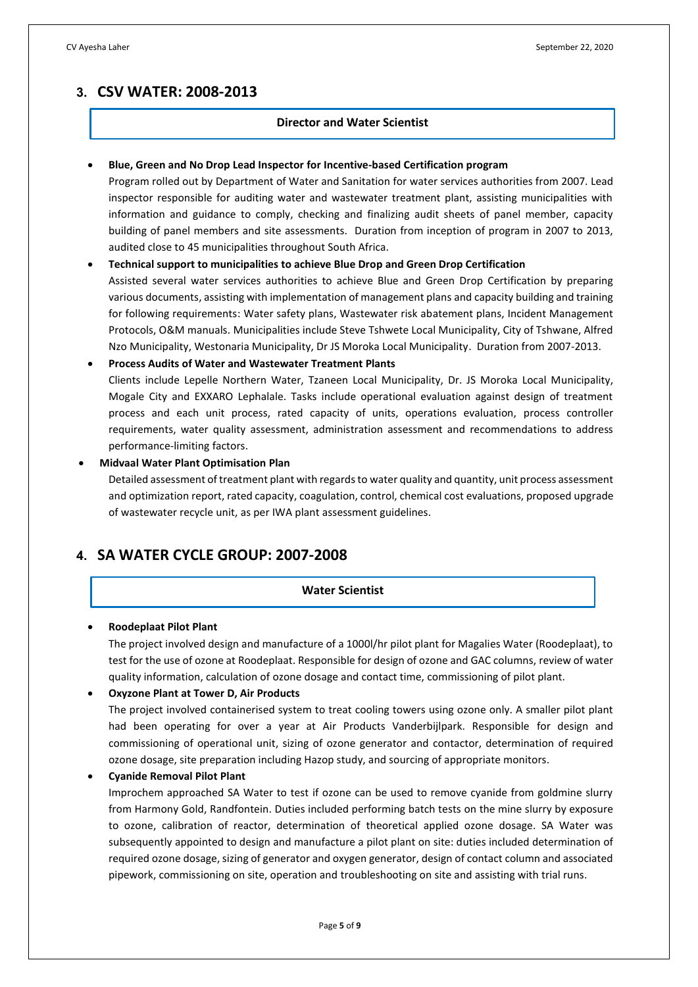# **3. CSV WATER: 2008-2013**

### **Director and Water Scientist**

• **Blue, Green and No Drop Lead Inspector for Incentive-based Certification program**

Program rolled out by Department of Water and Sanitation for water services authorities from 2007. Lead inspector responsible for auditing water and wastewater treatment plant, assisting municipalities with information and guidance to comply, checking and finalizing audit sheets of panel member, capacity building of panel members and site assessments. Duration from inception of program in 2007 to 2013, audited close to 45 municipalities throughout South Africa.

## • **Technical support to municipalities to achieve Blue Drop and Green Drop Certification**

Assisted several water services authorities to achieve Blue and Green Drop Certification by preparing various documents, assisting with implementation of management plans and capacity building and training for following requirements: Water safety plans, Wastewater risk abatement plans, Incident Management Protocols, O&M manuals. Municipalities include Steve Tshwete Local Municipality, City of Tshwane, Alfred Nzo Municipality, Westonaria Municipality, Dr JS Moroka Local Municipality. Duration from 2007-2013.

#### • **Process Audits of Water and Wastewater Treatment Plants**

Clients include Lepelle Northern Water, Tzaneen Local Municipality, Dr. JS Moroka Local Municipality, Mogale City and EXXARO Lephalale. Tasks include operational evaluation against design of treatment process and each unit process, rated capacity of units, operations evaluation, process controller requirements, water quality assessment, administration assessment and recommendations to address performance-limiting factors.

#### • **Midvaal Water Plant Optimisation Plan**

Detailed assessment of treatment plant with regards to water quality and quantity, unit process assessment and optimization report, rated capacity, coagulation, control, chemical cost evaluations, proposed upgrade of wastewater recycle unit, as per IWA plant assessment guidelines.

# **4. SA WATER CYCLE GROUP: 2007-2008**

#### **Water Scientist**

#### • **Roodeplaat Pilot Plant**

The project involved design and manufacture of a 1000l/hr pilot plant for Magalies Water (Roodeplaat), to test for the use of ozone at Roodeplaat. Responsible for design of ozone and GAC columns, review of water quality information, calculation of ozone dosage and contact time, commissioning of pilot plant.

#### • **Oxyzone Plant at Tower D, Air Products**

The project involved containerised system to treat cooling towers using ozone only. A smaller pilot plant had been operating for over a year at Air Products Vanderbijlpark. Responsible for design and commissioning of operational unit, sizing of ozone generator and contactor, determination of required ozone dosage, site preparation including Hazop study, and sourcing of appropriate monitors.

• **Cyanide Removal Pilot Plant**

Improchem approached SA Water to test if ozone can be used to remove cyanide from goldmine slurry from Harmony Gold, Randfontein. Duties included performing batch tests on the mine slurry by exposure to ozone, calibration of reactor, determination of theoretical applied ozone dosage. SA Water was subsequently appointed to design and manufacture a pilot plant on site: duties included determination of required ozone dosage, sizing of generator and oxygen generator, design of contact column and associated pipework, commissioning on site, operation and troubleshooting on site and assisting with trial runs.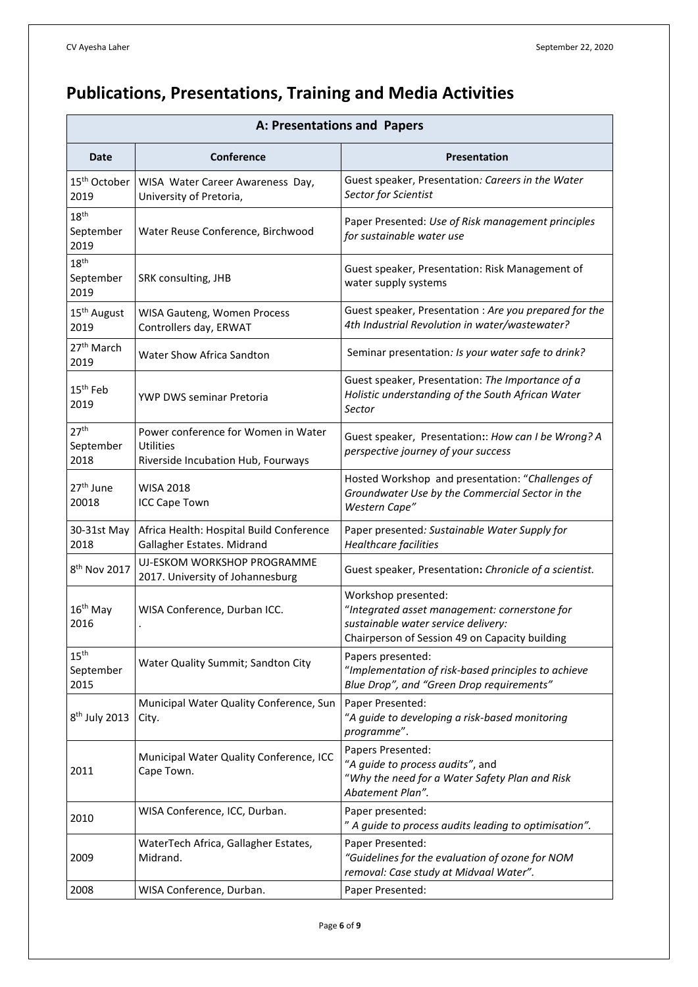# **Publications, Presentations, Training and Media Activities**

| A: Presentations and Papers           |                                                                                               |                                                                                                                                                               |  |
|---------------------------------------|-----------------------------------------------------------------------------------------------|---------------------------------------------------------------------------------------------------------------------------------------------------------------|--|
| <b>Date</b>                           | Conference                                                                                    | <b>Presentation</b>                                                                                                                                           |  |
| 15 <sup>th</sup> October<br>2019      | WISA Water Career Awareness Day,<br>University of Pretoria,                                   | Guest speaker, Presentation: Careers in the Water<br>Sector for Scientist                                                                                     |  |
| 18 <sup>th</sup><br>September<br>2019 | Water Reuse Conference, Birchwood                                                             | Paper Presented: Use of Risk management principles<br>for sustainable water use                                                                               |  |
| 18 <sup>th</sup><br>September<br>2019 | SRK consulting, JHB                                                                           | Guest speaker, Presentation: Risk Management of<br>water supply systems                                                                                       |  |
| 15 <sup>th</sup> August<br>2019       | WISA Gauteng, Women Process<br>Controllers day, ERWAT                                         | Guest speaker, Presentation : Are you prepared for the<br>4th Industrial Revolution in water/wastewater?                                                      |  |
| 27 <sup>th</sup> March<br>2019        | <b>Water Show Africa Sandton</b>                                                              | Seminar presentation: Is your water safe to drink?                                                                                                            |  |
| 15 <sup>th</sup> Feb<br>2019          | YWP DWS seminar Pretoria                                                                      | Guest speaker, Presentation: The Importance of a<br>Holistic understanding of the South African Water<br>Sector                                               |  |
| 27 <sup>th</sup><br>September<br>2018 | Power conference for Women in Water<br><b>Utilities</b><br>Riverside Incubation Hub, Fourways | Guest speaker, Presentation:: How can I be Wrong? A<br>perspective journey of your success                                                                    |  |
| 27 <sup>th</sup> June<br>20018        | <b>WISA 2018</b><br>ICC Cape Town                                                             | Hosted Workshop and presentation: "Challenges of<br>Groundwater Use by the Commercial Sector in the<br>Western Cape"                                          |  |
| 30-31st May<br>2018                   | Africa Health: Hospital Build Conference<br>Gallagher Estates. Midrand                        | Paper presented: Sustainable Water Supply for<br><b>Healthcare facilities</b>                                                                                 |  |
| 8 <sup>th</sup> Nov 2017              | UJ-ESKOM WORKSHOP PROGRAMME<br>2017. University of Johannesburg                               | Guest speaker, Presentation: Chronicle of a scientist.                                                                                                        |  |
| 16 <sup>th</sup> May<br>2016          | WISA Conference, Durban ICC.                                                                  | Workshop presented:<br>"Integrated asset management: cornerstone for<br>sustainable water service delivery:<br>Chairperson of Session 49 on Capacity building |  |
| 15 <sup>th</sup><br>September<br>2015 | Water Quality Summit; Sandton City                                                            | Papers presented:<br>"Implementation of risk-based principles to achieve<br>Blue Drop", and "Green Drop requirements"                                         |  |
| 8 <sup>th</sup> July 2013             | Municipal Water Quality Conference, Sun<br>City.                                              | Paper Presented:<br>"A guide to developing a risk-based monitoring<br>programme".                                                                             |  |
| 2011                                  | Municipal Water Quality Conference, ICC<br>Cape Town.                                         | Papers Presented:<br>"A guide to process audits", and<br>"Why the need for a Water Safety Plan and Risk<br>Abatement Plan".                                   |  |
| 2010                                  | WISA Conference, ICC, Durban.                                                                 | Paper presented:<br>" A guide to process audits leading to optimisation".                                                                                     |  |
| 2009                                  | WaterTech Africa, Gallagher Estates,<br>Midrand.                                              | Paper Presented:<br>"Guidelines for the evaluation of ozone for NOM<br>removal: Case study at Midvaal Water".                                                 |  |
| 2008                                  | WISA Conference, Durban.                                                                      | Paper Presented:                                                                                                                                              |  |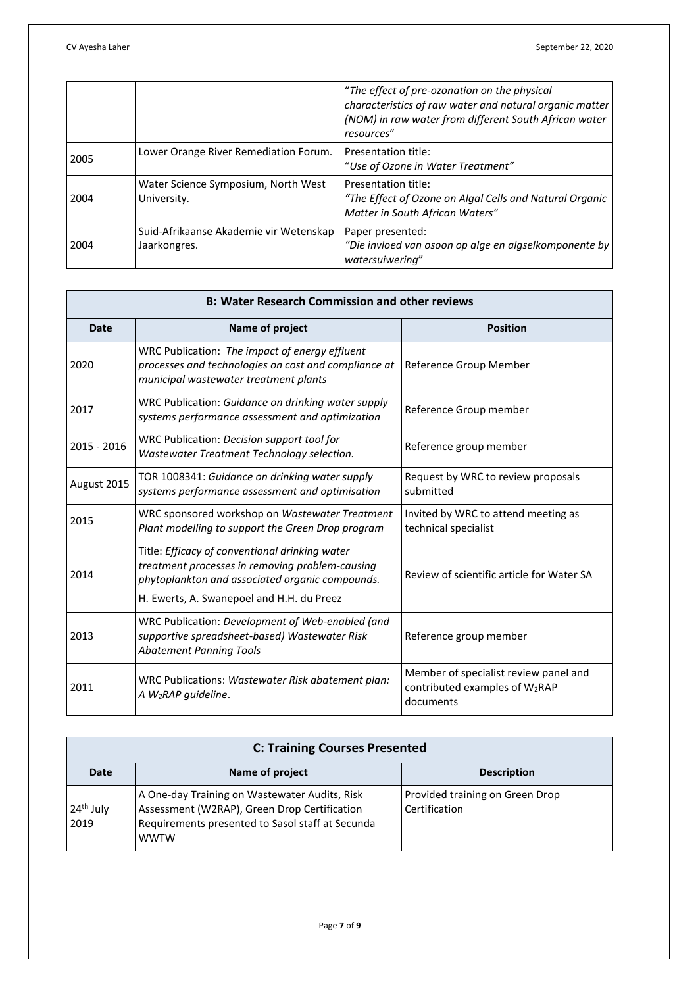|      |                                                        | "The effect of pre-ozonation on the physical<br>characteristics of raw water and natural organic matter<br>(NOM) in raw water from different South African water<br>resources" |
|------|--------------------------------------------------------|--------------------------------------------------------------------------------------------------------------------------------------------------------------------------------|
| 2005 | Lower Orange River Remediation Forum.                  | Presentation title:<br>"Use of Ozone in Water Treatment"                                                                                                                       |
| 2004 | Water Science Symposium, North West<br>University.     | Presentation title:<br>"The Effect of Ozone on Algal Cells and Natural Organic<br>Matter in South African Waters"                                                              |
| 2004 | Suid-Afrikaanse Akademie vir Wetenskap<br>Jaarkongres. | Paper presented:<br>"Die invloed van osoon op alge en algselkomponente by<br>watersuiwering"                                                                                   |

| <b>B: Water Research Commission and other reviews</b> |                                                                                                                                                                                                   |                                                                                                  |  |
|-------------------------------------------------------|---------------------------------------------------------------------------------------------------------------------------------------------------------------------------------------------------|--------------------------------------------------------------------------------------------------|--|
| <b>Date</b>                                           | Name of project                                                                                                                                                                                   | <b>Position</b>                                                                                  |  |
| 2020                                                  | WRC Publication: The impact of energy effluent<br>processes and technologies on cost and compliance at<br>municipal wastewater treatment plants                                                   | Reference Group Member                                                                           |  |
| 2017                                                  | WRC Publication: Guidance on drinking water supply<br>systems performance assessment and optimization                                                                                             | Reference Group member                                                                           |  |
| $2015 - 2016$                                         | WRC Publication: Decision support tool for<br>Wastewater Treatment Technology selection.                                                                                                          | Reference group member                                                                           |  |
| August 2015                                           | TOR 1008341: Guidance on drinking water supply<br>systems performance assessment and optimisation                                                                                                 | Request by WRC to review proposals<br>submitted                                                  |  |
| 2015                                                  | WRC sponsored workshop on Wastewater Treatment<br>Plant modelling to support the Green Drop program                                                                                               | Invited by WRC to attend meeting as<br>technical specialist                                      |  |
| 2014                                                  | Title: Efficacy of conventional drinking water<br>treatment processes in removing problem-causing<br>phytoplankton and associated organic compounds.<br>H. Ewerts, A. Swanepoel and H.H. du Preez | Review of scientific article for Water SA                                                        |  |
| 2013                                                  | WRC Publication: Development of Web-enabled (and<br>supportive spreadsheet-based) Wastewater Risk<br><b>Abatement Panning Tools</b>                                                               | Reference group member                                                                           |  |
| 2011                                                  | WRC Publications: Wastewater Risk abatement plan:<br>$A$ W <sub>2</sub> RAP quideline.                                                                                                            | Member of specialist review panel and<br>contributed examples of W <sub>2</sub> RAP<br>documents |  |

| <b>C: Training Courses Presented</b> |                                                                                                                                                                  |                                                  |  |
|--------------------------------------|------------------------------------------------------------------------------------------------------------------------------------------------------------------|--------------------------------------------------|--|
| <b>Date</b>                          | Name of project                                                                                                                                                  | <b>Description</b>                               |  |
| $24th$ July<br>2019                  | A One-day Training on Wastewater Audits, Risk<br>Assessment (W2RAP), Green Drop Certification<br>Requirements presented to Sasol staff at Secunda<br><b>WWTW</b> | Provided training on Green Drop<br>Certification |  |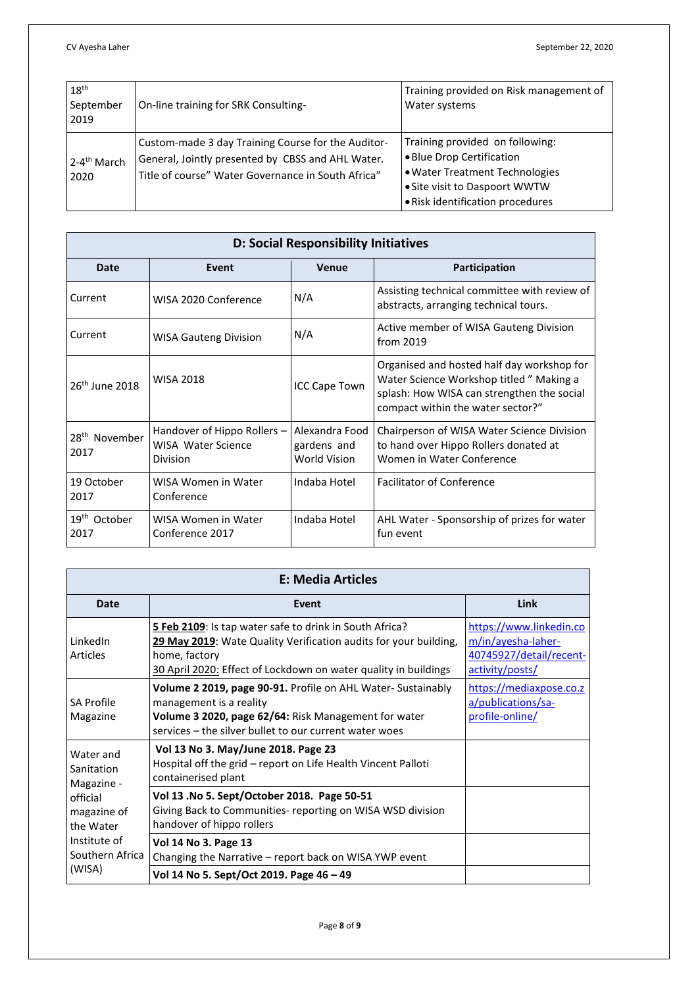| 18 <sup>th</sup><br>September<br>2019 | On-line training for SRK Consulting-                                                                                                                          | Training provided on Risk management of<br>Water systems                                                                                                            |
|---------------------------------------|---------------------------------------------------------------------------------------------------------------------------------------------------------------|---------------------------------------------------------------------------------------------------------------------------------------------------------------------|
| 2-4 <sup>th</sup> March<br>2020       | Custom-made 3 day Training Course for the Auditor-<br>General, Jointly presented by CBSS and AHL Water.<br>Title of course" Water Governance in South Africa" | Training provided on following:<br>· Blue Drop Certification<br>• Water Treatment Technologies<br>• Site visit to Daspoort WWTW<br>. Risk identification procedures |

| D: Social Responsibility Initiatives |                                                               |                                                      |                                                                                                                                                                           |
|--------------------------------------|---------------------------------------------------------------|------------------------------------------------------|---------------------------------------------------------------------------------------------------------------------------------------------------------------------------|
| Date                                 | Event                                                         | <b>Venue</b>                                         | Participation                                                                                                                                                             |
| Current                              | WISA 2020 Conference                                          | N/A                                                  | Assisting technical committee with review of<br>abstracts, arranging technical tours.                                                                                     |
| Current                              | <b>WISA Gauteng Division</b>                                  | N/A                                                  | Active member of WISA Gauteng Division<br>from 2019                                                                                                                       |
| 26 <sup>th</sup> June 2018           | <b>WISA 2018</b>                                              | <b>ICC Cape Town</b>                                 | Organised and hosted half day workshop for<br>Water Science Workshop titled " Making a<br>splash: How WISA can strengthen the social<br>compact within the water sector?" |
| 28 <sup>th</sup> November<br>2017    | Handover of Hippo Rollers –<br>WISA Water Science<br>Division | Alexandra Food<br>gardens and<br><b>World Vision</b> | Chairperson of WISA Water Science Division<br>to hand over Hippo Rollers donated at<br>Women in Water Conference                                                          |
| 19 October<br>2017                   | WISA Women in Water<br>Conference                             | Indaba Hotel                                         | <b>Facilitator of Conference</b>                                                                                                                                          |
| 19 <sup>th</sup> October<br>2017     | WISA Women in Water<br>Conference 2017                        | Indaba Hotel                                         | AHL Water - Sponsorship of prizes for water<br>fun event                                                                                                                  |

| E: Media Articles                                                       |                                                                                                                                                                                                                 |                                                                                             |  |
|-------------------------------------------------------------------------|-----------------------------------------------------------------------------------------------------------------------------------------------------------------------------------------------------------------|---------------------------------------------------------------------------------------------|--|
| Date                                                                    | Event                                                                                                                                                                                                           | Link                                                                                        |  |
| LinkedIn<br><b>Articles</b>                                             | 5 Feb 2109: Is tap water safe to drink in South Africa?<br>29 May 2019: Wate Quality Verification audits for your building,<br>home, factory<br>30 April 2020: Effect of Lockdown on water quality in buildings | https://www.linkedin.co<br>m/in/ayesha-laher-<br>40745927/detail/recent-<br>activity/posts/ |  |
| SA Profile<br>Magazine                                                  | Volume 2 2019, page 90-91. Profile on AHL Water-Sustainably<br>management is a reality<br>Volume 3 2020, page 62/64: Risk Management for water<br>services - the silver bullet to our current water woes        | https://mediaxpose.co.z<br>a/publications/sa-<br>profile-online/                            |  |
| Water and<br>Sanitation<br>Magazine -                                   | Vol 13 No 3. May/June 2018. Page 23<br>Hospital off the grid – report on Life Health Vincent Palloti<br>containerised plant                                                                                     |                                                                                             |  |
| official<br>magazine of<br>the Water<br>Institute of<br>Southern Africa | Vol 13 .No 5. Sept/October 2018. Page 50-51<br>Giving Back to Communities- reporting on WISA WSD division<br>handover of hippo rollers                                                                          |                                                                                             |  |
|                                                                         | Vol 14 No 3. Page 13<br>Changing the Narrative – report back on WISA YWP event                                                                                                                                  |                                                                                             |  |
| (WISA)                                                                  | Vol 14 No 5. Sept/Oct 2019. Page 46 - 49                                                                                                                                                                        |                                                                                             |  |